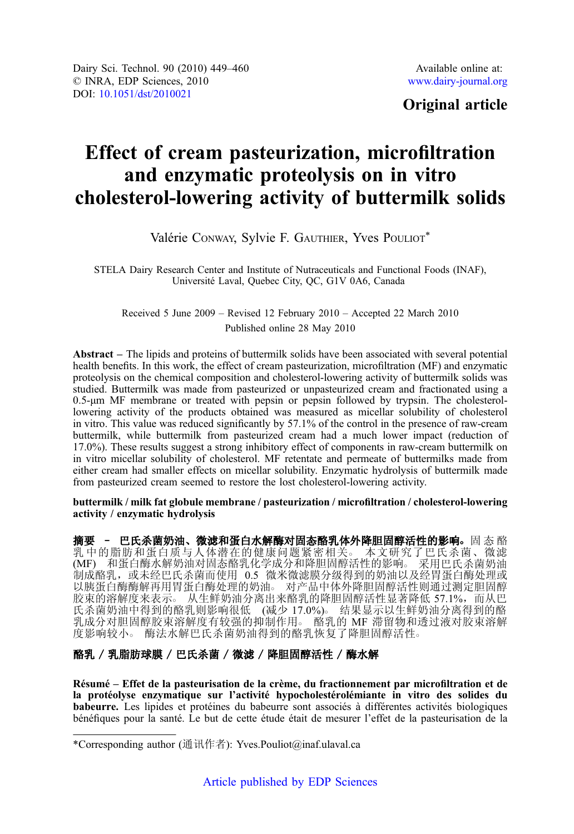## Original article

# Effect of cream pasteurization, microfiltration and enzymatic proteolysis on in vitro cholesterol-lowering activity of buttermilk solids

Valérie CONWAY, Sylvie F. GAUTHIER, Yves POULIOT\*

STELA Dairy Research Center and Institute of Nutraceuticals and Functional Foods (INAF), Université Laval, Quebec City, QC, G1V 0A6, Canada

Received 5 June 2009 – Revised 12 February 2010 – Accepted 22 March 2010 Published online 28 May 2010

Abstract – The lipids and proteins of buttermilk solids have been associated with several potential health benefits. In this work, the effect of cream pasteurization, microfiltration (MF) and enzymatic proteolysis on the chemical composition and cholesterol-lowering activity of buttermilk solids was studied. Buttermilk was made from pasteurized or unpasteurized cream and fractionated using a 0.5-μm MF membrane or treated with pepsin or pepsin followed by trypsin. The cholesterollowering activity of the products obtained was measured as micellar solubility of cholesterol in vitro. This value was reduced significantly by 57.1% of the control in the presence of raw-cream buttermilk, while buttermilk from pasteurized cream had a much lower impact (reduction of 17.0%). These results suggest a strong inhibitory effect of components in raw-cream buttermilk on in vitro micellar solubility of cholesterol. MF retentate and permeate of buttermilks made from either cream had smaller effects on micellar solubility. Enzymatic hydrolysis of buttermilk made from pasteurized cream seemed to restore the lost cholesterol-lowering activity.

buttermilk / milk fat globule membrane / pasteurization / microfiltration / cholesterol-lowering activity / enzymatic hydrolysis

摘要 - 巴氏杀菌奶油、微滤和蛋白水解酶对固态酪乳体外降胆固醇活性的影响。固 态 酪 乳 中的脂肪和蛋白质与人体潜在的健康问题紧密相关。 本文研究了巴氏杀菌、微滤 (MF) 和蛋白酶水解奶油对固态酪乳化学成分和降胆固醇活性的影响。采用巴氏杀菌奶油 制成酪乳,或未经巴氏杀菌而使用 0.5 微米微滤膜分级得到的奶油以及经胃蛋白酶处理或 以胰蛋白酶酶解再用胃蛋白酶处理的奶油。 对产品中体外降胆固醇活性则通过测定胆固醇 胶束的溶解度来表示。 从生鲜奶油分离出来酪乳的降胆固醇活性显著降低 57.1%,而从巴 氏杀菌奶油中得到的酪乳则影响很低 (减少 17.0%)。 结果显示以生鲜奶油分离得到的酪 乳成分对胆固醇胶束溶解度有较强的抑制作用○ 酪乳的 MF 滞留物和透过液对胶束溶解 度影响较小。 酶法水解巴氏杀菌奶油得到的酪乳恢复了降胆固醇活性。

## 酪乳 / 乳脂肪球膜 / 巴氏杀菌 / 微滤 / 降胆固醇活性 / 酶水解

Résumé – Effet de la pasteurisation de la crème, du fractionnement par microfiltration et de la protéolyse enzymatique sur l'activité hypocholestérolémiante in vitro des solides du babeurre. Les lipides et protéines du babeurre sont associés à différentes activités biologiques bénéfiques pour la santé. Le but de cette étude était de mesurer l'effet de la pasteurisation de la

<sup>\*</sup>Corresponding author (通讯作者): Yves.Pouliot@inaf.ulaval.ca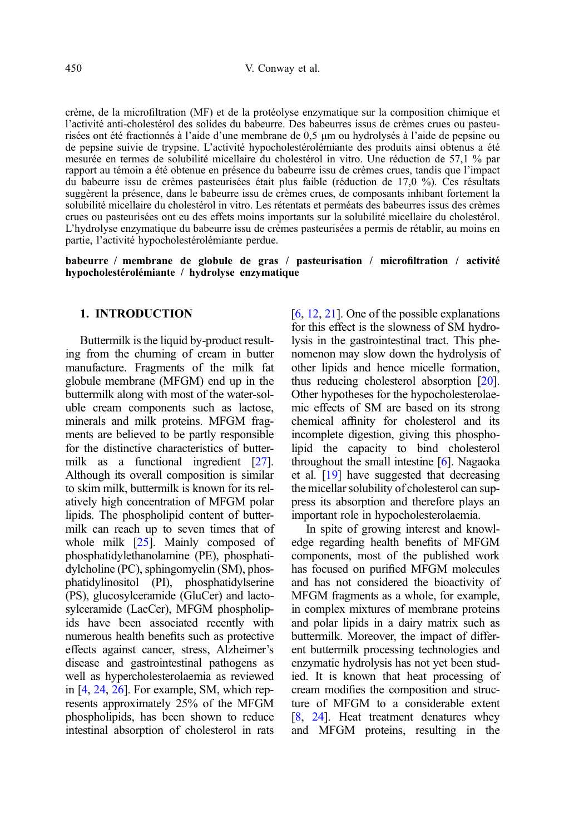#### 450 V. Conway et al.

crème, de la microfiltration (MF) et de la protéolyse enzymatique sur la composition chimique et l'activité anti-cholestérol des solides du babeurre. Des babeurres issus de crèmes crues ou pasteurisées ont été fractionnés à l'aide d'une membrane de 0,5 μm ou hydrolysés à l'aide de pepsine ou de pepsine suivie de trypsine. L'activité hypocholestérolémiante des produits ainsi obtenus a été mesurée en termes de solubilité micellaire du cholestérol in vitro. Une réduction de 57,1 % par rapport au témoin a été obtenue en présence du babeurre issu de crèmes crues, tandis que l'impact du babeurre issu de crèmes pasteurisées était plus faible (réduction de 17,0 %). Ces résultats suggèrent la présence, dans le babeurre issu de crèmes crues, de composants inhibant fortement la solubilité micellaire du cholestérol in vitro. Les rétentats et perméats des babeurres issus des crèmes crues ou pasteurisées ont eu des effets moins importants sur la solubilité micellaire du cholestérol. L'hydrolyse enzymatique du babeurre issu de crèmes pasteurisées a permis de rétablir, au moins en partie, l'activité hypocholestérolémiante perdue.

babeurre / membrane de globule de gras / pasteurisation / microfiltration / activité hypocholestérolémiante / hydrolyse enzymatique

## 1. INTRODUCTION

Buttermilk is the liquid by-product resulting from the churning of cream in butter manufacture. Fragments of the milk fat globule membrane (MFGM) end up in the buttermilk along with most of the water-soluble cream components such as lactose, minerals and milk proteins. MFGM fragments are believed to be partly responsible for the distinctive characteristics of butter-milk as a functional ingredient [\[27\]](#page-11-0). Although its overall composition is similar to skim milk, buttermilk is known for its relatively high concentration of MFGM polar lipids. The phospholipid content of buttermilk can reach up to seven times that of whole milk [[25](#page-11-0)]. Mainly composed of phosphatidylethanolamine (PE), phosphatidylcholine (PC), sphingomyelin (SM), phosphatidylinositol (PI), phosphatidylserine (PS), glucosylceramide (GluCer) and lactosylceramide (LacCer), MFGM phospholipids have been associated recently with numerous health benefits such as protective effects against cancer, stress, Alzheimer's disease and gastrointestinal pathogens as well as hypercholesterolaemia as reviewed in [[4](#page-10-0), [24](#page-11-0), [26\]](#page-11-0). For example, SM, which represents approximately 25% of the MFGM phospholipids, has been shown to reduce intestinal absorption of cholesterol in rats [[6](#page-10-0), [12,](#page-11-0) [21\]](#page-11-0). One of the possible explanations for this effect is the slowness of SM hydrolysis in the gastrointestinal tract. This phenomenon may slow down the hydrolysis of other lipids and hence micelle formation, thus reducing cholesterol absorption [\[20](#page-11-0)]. Other hypotheses for the hypocholesterolaemic effects of SM are based on its strong chemical affinity for cholesterol and its incomplete digestion, giving this phospholipid the capacity to bind cholesterol throughout the small intestine [[6\]](#page-10-0). Nagaoka et al. [[19](#page-11-0)] have suggested that decreasing the micellar solubility of cholesterol can suppress its absorption and therefore plays an important role in hypocholesterolaemia.

In spite of growing interest and knowledge regarding health benefits of MFGM components, most of the published work has focused on purified MFGM molecules and has not considered the bioactivity of MFGM fragments as a whole, for example, in complex mixtures of membrane proteins and polar lipids in a dairy matrix such as buttermilk. Moreover, the impact of different buttermilk processing technologies and enzymatic hydrolysis has not yet been studied. It is known that heat processing of cream modifies the composition and structure of MFGM to a considerable extent [[8](#page-10-0), [24](#page-11-0)]. Heat treatment denatures whey and MFGM proteins, resulting in the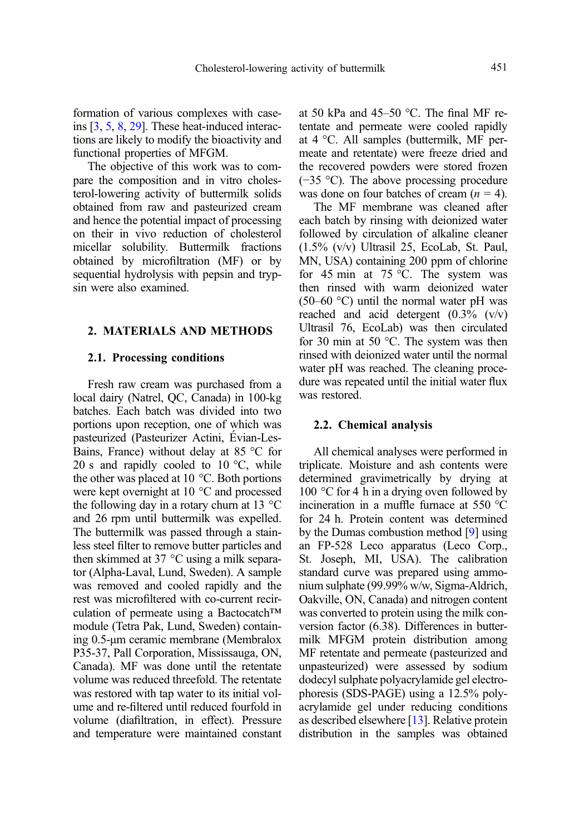formation of various complexes with caseins [\[3](#page-10-0), [5,](#page-10-0) [8,](#page-10-0) [29](#page-11-0)]. These heat-induced interactions are likely to modify the bioactivity and functional properties of MFGM.

The objective of this work was to compare the composition and in vitro cholesterol-lowering activity of buttermilk solids obtained from raw and pasteurized cream and hence the potential impact of processing on their in vivo reduction of cholesterol micellar solubility. Buttermilk fractions obtained by microfiltration (MF) or by sequential hydrolysis with pepsin and trypsin were also examined.

## 2. MATERIALS AND METHODS

#### 2.1. Processing conditions

Fresh raw cream was purchased from a local dairy (Natrel, QC, Canada) in 100-kg batches. Each batch was divided into two portions upon reception, one of which was pasteurized (Pasteurizer Actini, Evian-Les- Bains, France) without delay at 85 °C for 20 s and rapidly cooled to  $10^{\circ}$ C, while the other was placed at 10 °C. Both portions were kept overnight at 10 °C and processed the following day in a rotary churn at 13 °C and 26 rpm until buttermilk was expelled. The buttermilk was passed through a stainless steel filter to remove butter particles and then skimmed at 37 °C using a milk separator (Alpha-Laval, Lund, Sweden). A sample was removed and cooled rapidly and the rest was microfiltered with co-current recirculation of permeate using a Bactocatch™ module (Tetra Pak, Lund, Sweden) containing 0.5-μm ceramic membrane (Membralox P35-37, Pall Corporation, Mississauga, ON, Canada). MF was done until the retentate volume was reduced threefold. The retentate was restored with tap water to its initial volume and re-filtered until reduced fourfold in volume (diafiltration, in effect). Pressure and temperature were maintained constant at 50 kPa and 45–50 °C. The final MF retentate and permeate were cooled rapidly at 4 °C. All samples (buttermilk, MF permeate and retentate) were freeze dried and the recovered powders were stored frozen (−35 °C). The above processing procedure was done on four batches of cream  $(n = 4)$ .

The MF membrane was cleaned after each batch by rinsing with deionized water followed by circulation of alkaline cleaner (1.5% (v/v) Ultrasil 25, EcoLab, St. Paul, MN, USA) containing 200 ppm of chlorine for 45 min at 75 °C. The system was then rinsed with warm deionized water  $(50-60 \degree C)$  until the normal water pH was reached and acid detergent (0.3% (v/v) Ultrasil 76, EcoLab) was then circulated for 30 min at 50 °C. The system was then rinsed with deionized water until the normal water pH was reached. The cleaning procedure was repeated until the initial water flux was restored.

#### 2.2. Chemical analysis

All chemical analyses were performed in triplicate. Moisture and ash contents were determined gravimetrically by drying at 100 °C for 4 h in a drying oven followed by incineration in a muffle furnace at 550 °C for 24 h. Protein content was determined by the Dumas combustion method [\[9](#page-11-0)] using an FP-528 Leco apparatus (Leco Corp., St. Joseph, MI, USA). The calibration standard curve was prepared using ammonium sulphate (99.99% w/w, Sigma-Aldrich, Oakville, ON, Canada) and nitrogen content was converted to protein using the milk conversion factor (6.38). Differences in buttermilk MFGM protein distribution among MF retentate and permeate (pasteurized and unpasteurized) were assessed by sodium dodecyl sulphate polyacrylamide gel electrophoresis (SDS-PAGE) using a 12.5% polyacrylamide gel under reducing conditions as described elsewhere [[13](#page-11-0)]. Relative protein distribution in the samples was obtained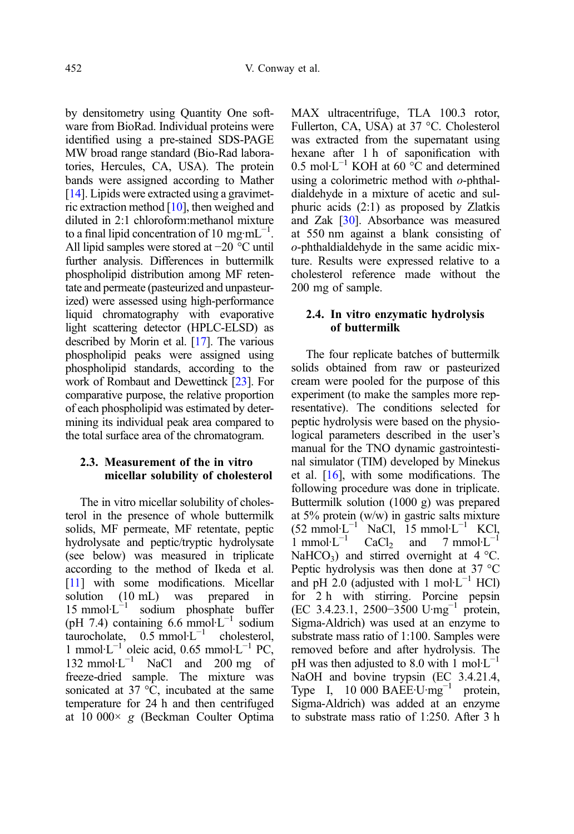by densitometry using Quantity One software from BioRad. Individual proteins were identified using a pre-stained SDS-PAGE MW broad range standard (Bio-Rad laboratories, Hercules, CA, USA). The protein bands were assigned according to Mather [\[14](#page-11-0)]. Lipids were extracted using a gravimetric extraction method  $[10]$ , then weighed and diluted in 2:1 chloroform:methanol mixture to a final lipid concentration of 10  $mg·mL^{-1}$ . All lipid samples were stored at −20 °C until further analysis. Differences in buttermilk phospholipid distribution among MF retentate and permeate (pasteurized and unpasteurized) were assessed using high-performance liquid chromatography with evaporative light scattering detector (HPLC-ELSD) as described by Morin et al. [[17](#page-11-0)]. The various phospholipid peaks were assigned using phospholipid standards, according to the work of Rombaut and Dewettinck [\[23\]](#page-11-0). For comparative purpose, the relative proportion of each phospholipid was estimated by determining its individual peak area compared to the total surface area of the chromatogram.

## 2.3. Measurement of the in vitro micellar solubility of cholesterol

The in vitro micellar solubility of cholesterol in the presence of whole buttermilk solids, MF permeate, MF retentate, peptic hydrolysate and peptic/tryptic hydrolysate (see below) was measured in triplicate according to the method of Ikeda et al. [\[11\]](#page-11-0) with some modifications. Micellar solution (10 mL) was prepared in 15 mmol·L<sup> $-1$ </sup> sodium phosphate buffer (pH 7.4) containing 6.6 mmol⋅L<sup>-1</sup> sodium taurocholate,  $0.5 \text{ mmol·L}^{-1}$  cholesterol. 1 mmol·L<sup>-1</sup> oleic acid, 0.65 mmol·L<sup>-1</sup> PC, 132 mmol·L<sup>-1</sup> NaCl and 200 mg of freeze-dried sample. The mixture was sonicated at 37 °C, incubated at the same temperature for 24 h and then centrifuged at 10 000× g (Beckman Coulter Optima MAX ultracentrifuge, TLA 100.3 rotor, Fullerton, CA, USA) at 37 °C. Cholesterol was extracted from the supernatant using hexane after 1 h of saponification with 0.5 mol·L−<sup>1</sup> KOH at 60 °C and determined using a colorimetric method with  $o$ -phthaldialdehyde in a mixture of acetic and sulphuric acids (2:1) as proposed by Zlatkis and Zak [[30](#page-11-0)]. Absorbance was measured at 550 nm against a blank consisting of o-phthaldialdehyde in the same acidic mixture. Results were expressed relative to a cholesterol reference made without the 200 mg of sample.

## 2.4. In vitro enzymatic hydrolysis of buttermilk

The four replicate batches of buttermilk solids obtained from raw or pasteurized cream were pooled for the purpose of this experiment (to make the samples more representative). The conditions selected for peptic hydrolysis were based on the physiological parameters described in the user's manual for the TNO dynamic gastrointestinal simulator (TIM) developed by Minekus et al. [\[16\]](#page-11-0), with some modifications. The following procedure was done in triplicate. Buttermilk solution (1000 g) was prepared at 5% protein (w/w) in gastric salts mixture<br>(52 mmol·L<sup>-1</sup> NaCl, 15 mmol·L<sup>-1</sup> KCl,  $(52 \text{ mmol·L}^{-1} \text{ NaCl}, 15 \text{ mmol·L}^{-1} \text{ KCl},$ <br>1 mmol·L<sup>-1</sup> CaCl<sub>2</sub> and 7 mmol·L<sup>-1</sup>  $CaCl<sub>2</sub>$  and 7 mmol·L<sup>-1</sup> NaHCO<sub>3</sub>) and stirred overnight at  $4^{\circ}$ C. Peptic hydrolysis was then done at 37 °C and pH 2.0 (adjusted with 1 mol·L<sup>-1</sup> HCl) for 2 h with stirring. Porcine pepsin (EC 3.4.23.1, 2500−3500 U·mg−<sup>1</sup> protein, Sigma-Aldrich) was used at an enzyme to substrate mass ratio of 1:100. Samples were removed before and after hydrolysis. The pH was then adjusted to 8.0 with 1 mol⋅ $L^{-1}$ NaOH and bovine trypsin (EC 3.4.21.4, Type I, 10 000 BAEE·U·mg<sup>-1</sup> protein, Sigma-Aldrich) was added at an enzyme to substrate mass ratio of 1:250. After 3 h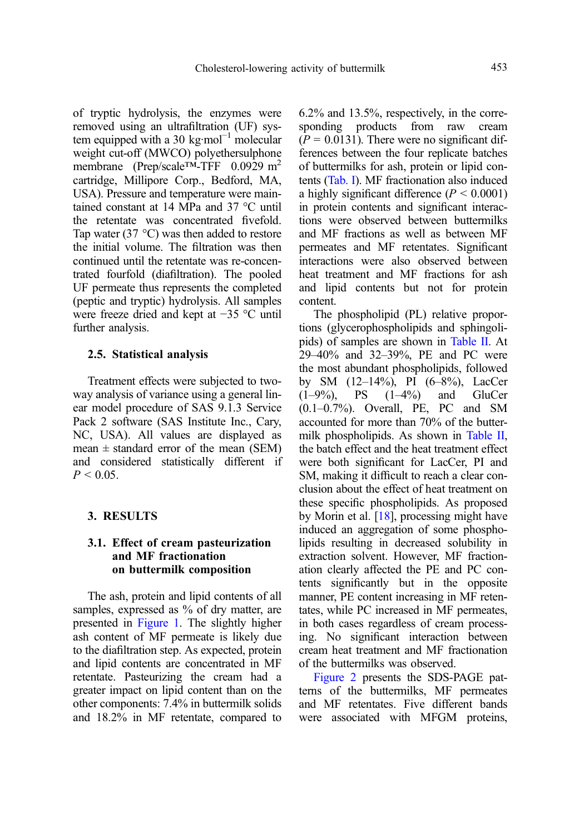of tryptic hydrolysis, the enzymes were removed using an ultrafiltration (UF) system equipped with a 30 kg·mol−<sup>1</sup> molecular weight cut-off (MWCO) polyethersulphone membrane (Prep/scale<sup>TM</sup>-TFF 0.0929 m<sup>2</sup> cartridge, Millipore Corp., Bedford, MA, USA). Pressure and temperature were maintained constant at 14 MPa and 37 °C until the retentate was concentrated fivefold. Tap water (37 $\degree$ C) was then added to restore the initial volume. The filtration was then continued until the retentate was re-concentrated fourfold (diafiltration). The pooled UF permeate thus represents the completed (peptic and tryptic) hydrolysis. All samples were freeze dried and kept at −35 °C until further analysis.

#### 2.5. Statistical analysis

Treatment effects were subjected to twoway analysis of variance using a general linear model procedure of SAS 9.1.3 Service Pack 2 software (SAS Institute Inc., Cary, NC, USA). All values are displayed as mean  $\pm$  standard error of the mean (SEM) and considered statistically different if  $P < 0.05$ .

## 3. RESULTS

## 3.1. Effect of cream pasteurization and MF fractionation on buttermilk composition

The ash, protein and lipid contents of all samples, expressed as % of dry matter, are presented in [Figure 1](#page-5-0). The slightly higher ash content of MF permeate is likely due to the diafiltration step. As expected, protein and lipid contents are concentrated in MF retentate. Pasteurizing the cream had a greater impact on lipid content than on the other components: 7.4% in buttermilk solids and 18.2% in MF retentate, compared to 6.2% and 13.5%, respectively, in the corresponding products from raw cream  $(P = 0.0131)$ . There were no significant differences between the four replicate batches of buttermilks for ash, protein or lipid contents [\(Tab. I\)](#page-6-0). MF fractionation also induced a highly significant difference  $(P < 0.0001)$ in protein contents and significant interactions were observed between buttermilks and MF fractions as well as between MF permeates and MF retentates. Significant interactions were also observed between heat treatment and MF fractions for ash and lipid contents but not for protein content.

The phospholipid (PL) relative proportions (glycerophospholipids and sphingolipids) of samples are shown in [Table II](#page-6-0). At 29–40% and 32–39%, PE and PC were the most abundant phospholipids, followed by SM (12–14%), PI (6–8%), LacCer (1–9%), PS (1–4%) and GluCer  $(1-9\%)$ , PS  $(1-4\%)$  and GluCer (0.1–0.7%). Overall, PE, PC and SM accounted for more than 70% of the buttermilk phospholipids. As shown in [Table II](#page-6-0), the batch effect and the heat treatment effect were both significant for LacCer, PI and SM, making it difficult to reach a clear conclusion about the effect of heat treatment on these specific phospholipids. As proposed by Morin et al. [\[18\]](#page-11-0), processing might have induced an aggregation of some phospholipids resulting in decreased solubility in extraction solvent. However, MF fractionation clearly affected the PE and PC contents significantly but in the opposite manner, PE content increasing in MF retentates, while PC increased in MF permeates, in both cases regardless of cream processing. No significant interaction between cream heat treatment and MF fractionation of the buttermilks was observed.

[Figure 2](#page-7-0) presents the SDS-PAGE patterns of the buttermilks, MF permeates and MF retentates. Five different bands were associated with MFGM proteins,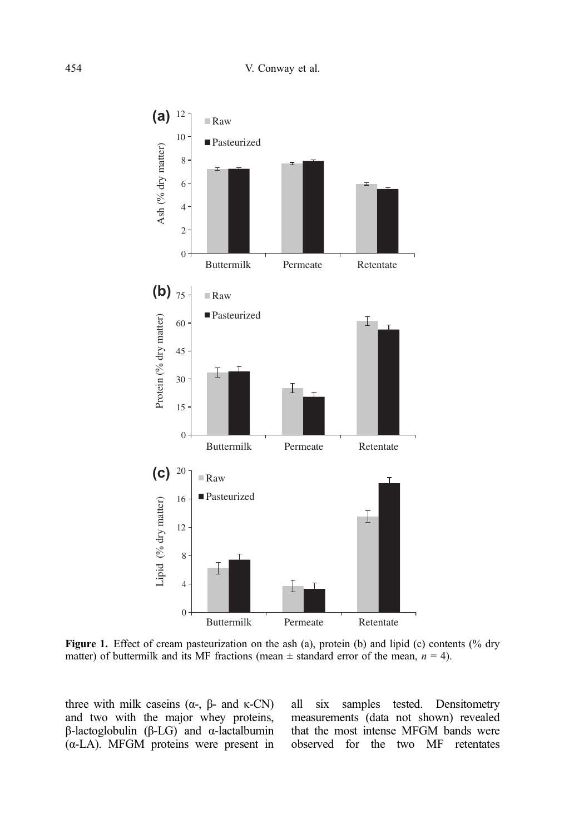<span id="page-5-0"></span>

Figure 1. Effect of cream pasteurization on the ash (a), protein (b) and lipid (c) contents (% dry matter) of buttermilk and its MF fractions (mean  $\pm$  standard error of the mean,  $n = 4$ ).

three with milk caseins ( $\alpha$ -,  $\beta$ - and κ-CN) and two with the major whey proteins, β-lactoglobulin (β-LG) and α-lactalbumin (α-LA). MFGM proteins were present in all six samples tested. Densitometry measurements (data not shown) revealed that the most intense MFGM bands were observed for the two MF retentates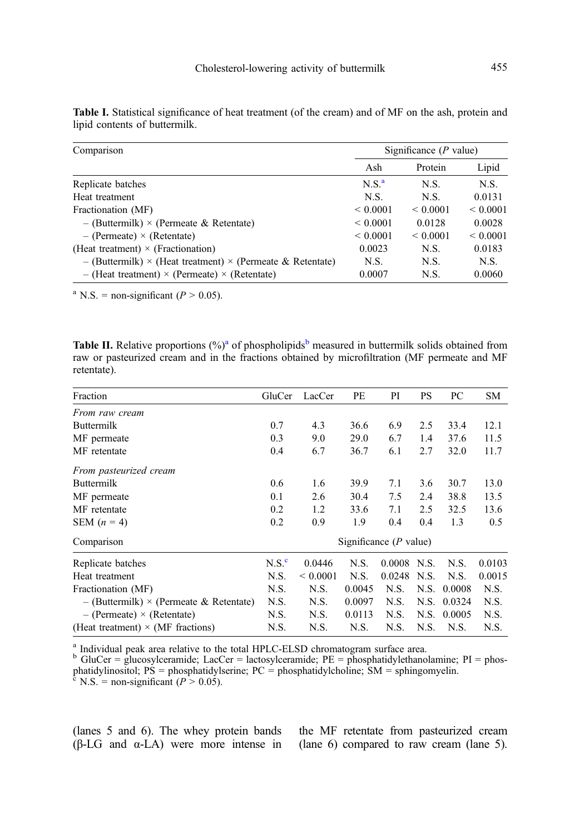| Comparison                                                                 | Significance $(P$ value) |               |              |  |  |
|----------------------------------------------------------------------------|--------------------------|---------------|--------------|--|--|
|                                                                            | Ash                      | Protein       | Lipid        |  |  |
| Replicate batches                                                          | N.S <sup>a</sup>         | N.S.          | N.S.         |  |  |
| Heat treatment                                                             | N.S.                     | N.S.          | 0.0131       |  |  |
| Fractionation (MF)                                                         | ${}< 0.0001$             | ${}_{0.0001}$ | ${}< 0.0001$ |  |  |
| $-$ (Buttermilk) $\times$ (Permeate & Retentate)                           | ${}< 0.0001$             | 0.0128        | 0.0028       |  |  |
| $-(Permeate) \times (Retentate)$                                           | ${}< 0.0001$             | < 0.0001      | ${}< 0.0001$ |  |  |
| (Heat treatment) $\times$ (Fractionation)                                  | 0.0023                   | N.S.          | 0.0183       |  |  |
| $-$ (Buttermilk) $\times$ (Heat treatment) $\times$ (Permeate & Retentate) | N.S.                     | N.S.          | N.S.         |  |  |
| - (Heat treatment) $\times$ (Permeate) $\times$ (Retentate)                | 0.0007                   | N.S.          | 0.0060       |  |  |

<span id="page-6-0"></span>Table I. Statistical significance of heat treatment (of the cream) and of MF on the ash, protein and lipid contents of buttermilk.

<sup>a</sup> N.S. = non-significant ( $P > 0.05$ ).

**Table II.** Relative proportions  $(\%)^a$  of phospholipids<sup>b</sup> measured in buttermilk solids obtained from raw or pasteurized cream and in the fractions obtained by microfiltration (MF permeate and MF retentate).

| Fraction                                         | GluCer                   | LacCer       | РE     | PI     | PS   | PC     | SM     |
|--------------------------------------------------|--------------------------|--------------|--------|--------|------|--------|--------|
| From raw cream                                   |                          |              |        |        |      |        |        |
| <b>Buttermilk</b>                                | 0.7                      | 4.3          | 36.6   | 6.9    | 2.5  | 33.4   | 12.1   |
| MF permeate                                      | 0.3                      | 9.0          | 29.0   | 6.7    | 1.4  | 37.6   | 11.5   |
| MF retentate                                     | 0.4                      | 6.7          | 36.7   | 6.1    | 2.7  | 32.0   | 11.7   |
| From pasteurized cream                           |                          |              |        |        |      |        |        |
| <b>Buttermilk</b>                                | 0.6                      | 1.6          | 39.9   | 7.1    | 3.6  | 30.7   | 13.0   |
| MF permeate                                      | 0.1                      | 2.6          | 30.4   | 7.5    | 2.4  | 38.8   | 13.5   |
| MF retentate                                     | 0.2                      | 1.2          | 33.6   | 7.1    | 2.5  | 32.5   | 13.6   |
| SEM $(n = 4)$                                    | 0.2                      | 0.9          | 1.9    | 0.4    | 0.4  | 1.3    | 0.5    |
| Comparison                                       | Significance $(P$ value) |              |        |        |      |        |        |
| Replicate batches                                | $N.S.^c$                 | 0.0446       | N.S.   | 0.0008 | N.S. | N.S.   | 0.0103 |
| Heat treatment                                   | N.S.                     | ${}< 0.0001$ | N.S.   | 0.0248 | N.S. | N.S.   | 0.0015 |
| Fractionation (MF)                               | N.S.                     | N.S.         | 0.0045 | N.S.   | N.S. | 0.0008 | N.S.   |
| $-$ (Buttermilk) $\times$ (Permeate & Retentate) | N.S.                     | N.S.         | 0.0097 | N.S.   | N.S. | 0.0324 | N.S.   |
| $-(Permeate) \times (Retentate)$                 | N.S.                     | N.S.         | 0.0113 | N.S.   | N.S. | 0.0005 | N.S.   |
| (Heat treatment) $\times$ (MF fractions)         | N.S.                     | N.S.         | N.S.   | N.S.   | N.S. | N.S.   | N.S.   |

<sup>a</sup> Individual peak area relative to the total HPLC-ELSD chromatogram surface area.<br><sup>b</sup> GluCer = glucosylceramide; LacCer = lactosylceramide; PE = phosphatidylethanolamine; PI = phosphatidylinositol; PS = phosphatidylserine; PC = phosphatidylcholine; SM = sphingomyelin.<br><sup>c</sup> N.S. = non-significant (*P* > 0.05).

(lanes 5 and 6). The whey protein bands (β-LG and α-LA) were more intense in

the MF retentate from pasteurized cream (lane 6) compared to raw cream (lane 5).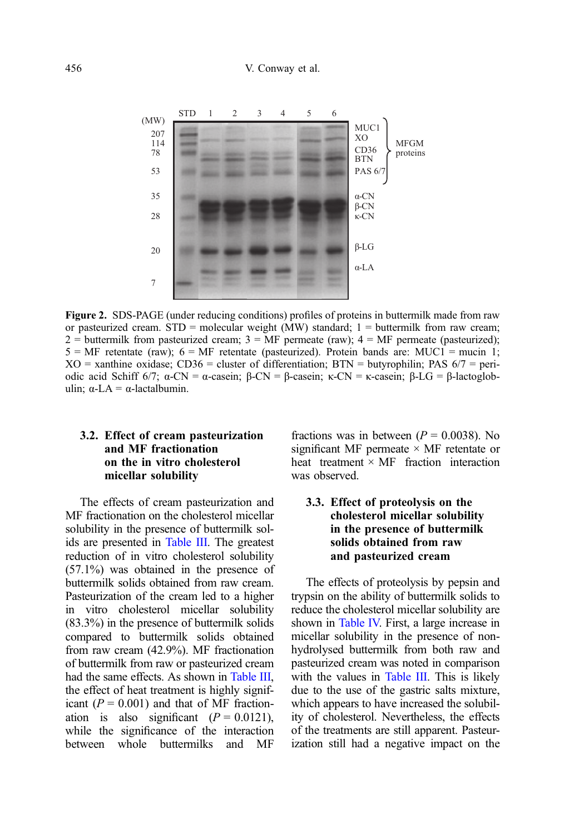## <span id="page-7-0"></span>456 V. Conway et al.



Figure 2. SDS-PAGE (under reducing conditions) profiles of proteins in buttermilk made from raw or pasteurized cream.  $STD = molecular weight (MW) standard; 1 = buttermilk from raw cream;$  $2 =$  buttermilk from pasteurized cream;  $3 = MF$  permeate (raw);  $4 = MF$  permeate (pasteurized);  $5 = MF$  retentate (raw);  $6 = MF$  retentate (pasteurized). Protein bands are: MUC1 = mucin 1;  $XO =$  xanthine oxidase; CD36 = cluster of differentiation; BTN = butyrophilin; PAS 6/7 = periodic acid Schiff 6/7; α-CN = α-casein; β-CN = β-casein; κ-CN = κ-casein; β-LG = β-lactoglobulin;  $\alpha$ -LA =  $\alpha$ -lactalbumin.

## 3.2. Effect of cream pasteurization and MF fractionation on the in vitro cholesterol micellar solubility

The effects of cream pasteurization and MF fractionation on the cholesterol micellar solubility in the presence of buttermilk solids are presented in [Table III](#page-8-0). The greatest reduction of in vitro cholesterol solubility (57.1%) was obtained in the presence of buttermilk solids obtained from raw cream. Pasteurization of the cream led to a higher in vitro cholesterol micellar solubility (83.3%) in the presence of buttermilk solids compared to buttermilk solids obtained from raw cream (42.9%). MF fractionation of buttermilk from raw or pasteurized cream had the same effects. As shown in [Table III,](#page-8-0) the effect of heat treatment is highly significant ( $P = 0.001$ ) and that of MF fractionation is also significant  $(P = 0.0121)$ , while the significance of the interaction between whole buttermilks and MF

fractions was in between  $(P = 0.0038)$ . No significant MF permeate  $\times$  MF retentate or heat treatment  $\times$  MF fraction interaction was observed.

## 3.3. Effect of proteolysis on the cholesterol micellar solubility in the presence of buttermilk solids obtained from raw and pasteurized cream

The effects of proteolysis by pepsin and trypsin on the ability of buttermilk solids to reduce the cholesterol micellar solubility are shown in [Table IV.](#page-9-0) First, a large increase in micellar solubility in the presence of nonhydrolysed buttermilk from both raw and pasteurized cream was noted in comparison with the values in [Table III](#page-8-0). This is likely due to the use of the gastric salts mixture, which appears to have increased the solubility of cholesterol. Nevertheless, the effects of the treatments are still apparent. Pasteurization still had a negative impact on the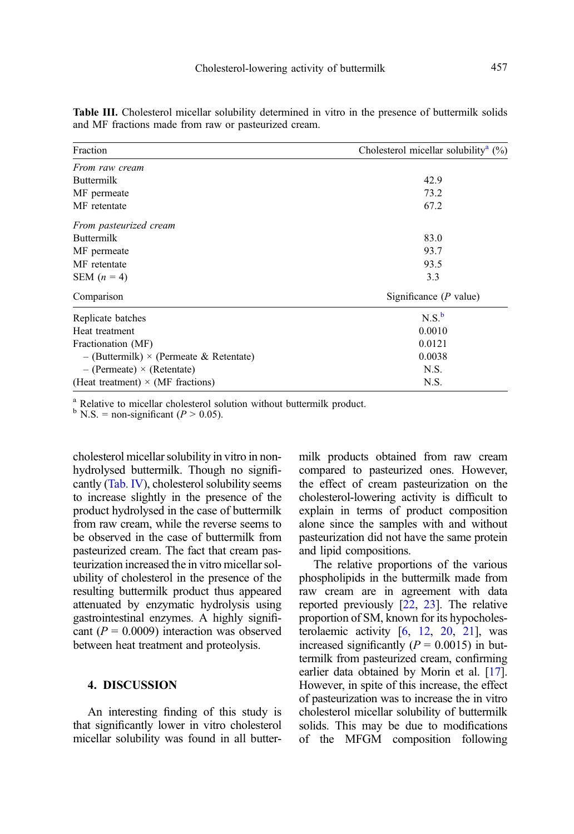| Fraction                                         | Cholesterol micellar solubility <sup>a</sup> $(\%)$ |  |  |
|--------------------------------------------------|-----------------------------------------------------|--|--|
| From raw cream                                   |                                                     |  |  |
| <b>Buttermilk</b>                                | 42.9                                                |  |  |
| MF permeate                                      | 73.2                                                |  |  |
| MF retentate                                     | 67.2                                                |  |  |
| From pasteurized cream                           |                                                     |  |  |
| <b>Buttermilk</b>                                | 83.0                                                |  |  |
| MF permeate                                      | 93.7                                                |  |  |
| MF retentate                                     | 93.5                                                |  |  |
| SEM $(n = 4)$                                    | 3.3                                                 |  |  |
| Comparison                                       | Significance $(P$ value)                            |  |  |
| Replicate batches                                | N.S. <sup>b</sup>                                   |  |  |
| Heat treatment                                   | 0.0010                                              |  |  |
| Fractionation (MF)                               | 0.0121                                              |  |  |
| $-$ (Buttermilk) $\times$ (Permeate & Retentate) | 0.0038                                              |  |  |
| $-(Permeate) \times (Retentate)$                 | N.S.                                                |  |  |
| (Heat treatment) $\times$ (MF fractions)         | N.S.                                                |  |  |

<span id="page-8-0"></span>Table III. Cholesterol micellar solubility determined in vitro in the presence of buttermilk solids and MF fractions made from raw or pasteurized cream.

<sup>a</sup> Relative to micellar cholesterol solution without buttermilk product. **b** N.S. = non-significant ( $P > 0.05$ ).

cholesterol micellar solubility in vitro in nonhydrolysed buttermilk. Though no significantly [\(Tab. IV\)](#page-9-0), cholesterol solubility seems to increase slightly in the presence of the product hydrolysed in the case of buttermilk from raw cream, while the reverse seems to be observed in the case of buttermilk from pasteurized cream. The fact that cream pasteurization increased the in vitro micellar solubility of cholesterol in the presence of the resulting buttermilk product thus appeared attenuated by enzymatic hydrolysis using gastrointestinal enzymes. A highly significant ( $P = 0.0009$ ) interaction was observed between heat treatment and proteolysis.

## 4. DISCUSSION

An interesting finding of this study is that significantly lower in vitro cholesterol micellar solubility was found in all buttermilk products obtained from raw cream compared to pasteurized ones. However, the effect of cream pasteurization on the cholesterol-lowering activity is difficult to explain in terms of product composition alone since the samples with and without pasteurization did not have the same protein and lipid compositions.

The relative proportions of the various phospholipids in the buttermilk made from raw cream are in agreement with data reported previously [[22](#page-11-0), [23](#page-11-0)]. The relative proportion of SM, known for its hypocholesterolaemic activity [[6,](#page-10-0) [12,](#page-11-0) [20,](#page-11-0) [21](#page-11-0)], was increased significantly ( $P = 0.0015$ ) in buttermilk from pasteurized cream, confirming earlier data obtained by Morin et al. [[17](#page-11-0)]. However, in spite of this increase, the effect of pasteurization was to increase the in vitro cholesterol micellar solubility of buttermilk solids. This may be due to modifications of the MFGM composition following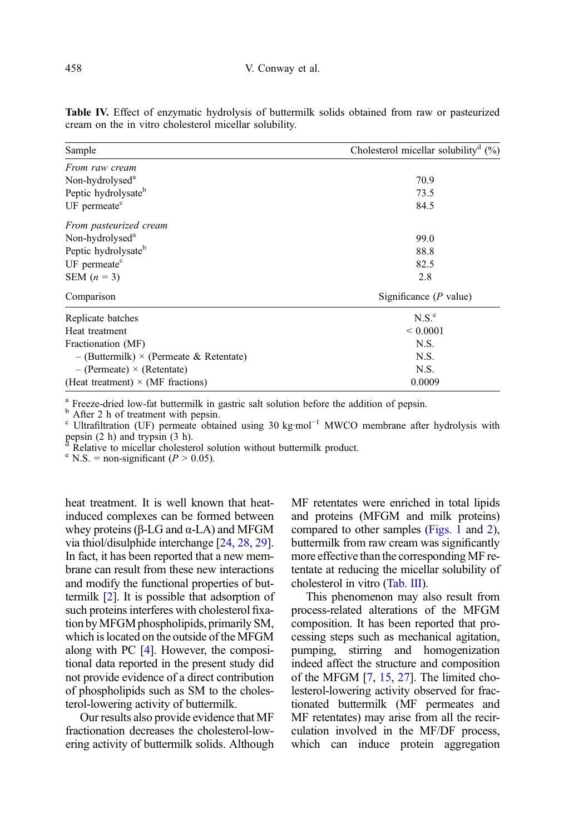| Sample                                         | Cholesterol micellar solubility <sup>d</sup> $(\%)$ |  |  |
|------------------------------------------------|-----------------------------------------------------|--|--|
| From raw cream                                 |                                                     |  |  |
| Non-hydrolysed <sup>a</sup>                    | 70.9                                                |  |  |
| Peptic hydrolysate <sup>b</sup>                | 73.5                                                |  |  |
| UF permeate $\rm^c$                            | 84.5                                                |  |  |
| From pasteurized cream                         |                                                     |  |  |
| Non-hydrolysed <sup>a</sup>                    | 99.0                                                |  |  |
| Peptic hydrolysate <sup>b</sup>                | 88.8                                                |  |  |
| UF permeate $\rm^c$                            | 82.5                                                |  |  |
| SEM $(n=3)$                                    | 2.8                                                 |  |  |
| Comparison                                     | Significance $(P$ value)                            |  |  |
| Replicate batches                              | N.S <sup>e</sup>                                    |  |  |
| Heat treatment                                 | ${}< 0.0001$                                        |  |  |
| Fractionation (MF)                             | N.S.                                                |  |  |
| - (Buttermilk) $\times$ (Permeate & Retentate) | N.S.                                                |  |  |
| $-(Permeate) \times (Retentate)$               | N.S.                                                |  |  |
| (Heat treatment) $\times$ (MF fractions)       | 0.0009                                              |  |  |

<span id="page-9-0"></span>Table IV. Effect of enzymatic hydrolysis of buttermilk solids obtained from raw or pasteurized cream on the in vitro cholesterol micellar solubility.

<sup>a</sup> Freeze-dried low-fat buttermilk in gastric salt solution before the addition of pepsin. b After 2 h of treatment with pepsin.<br><sup>b</sup> After 2 h of treatment with pepsin.<br>c Ultrafiltration (UF) permeate obtained using 30 k pepsin  $(2 h)$  and trypsin  $(3 h)$ .

<sup>d</sup> Relative to micellar cholesterol solution without buttermilk product. <sup>e</sup> N.S. = non-significant (*P* > 0.05).

heat treatment. It is well known that heatinduced complexes can be formed between whey proteins ( $β$ -LG and  $α$ -LA) and MFGM via thiol/disulphide interchange [\[24](#page-11-0), [28](#page-11-0), [29\]](#page-11-0). In fact, it has been reported that a new membrane can result from these new interactions and modify the functional properties of buttermilk [\[2\]](#page-10-0). It is possible that adsorption of such proteins interferes with cholesterol fixation byMFGM phospholipids, primarily SM, which is located on the outside of the MFGM along with PC [\[4](#page-10-0)]. However, the compositional data reported in the present study did not provide evidence of a direct contribution of phospholipids such as SM to the cholesterol-lowering activity of buttermilk.

Our results also provide evidence that MF fractionation decreases the cholesterol-lowering activity of buttermilk solids. Although MF retentates were enriched in total lipids and proteins (MFGM and milk proteins) compared to other samples ([Figs. 1](#page-5-0) and [2](#page-7-0)), buttermilk from raw cream was significantly more effective than the corresponding MF retentate at reducing the micellar solubility of cholesterol in vitro [\(Tab. III\)](#page-8-0).

This phenomenon may also result from process-related alterations of the MFGM composition. It has been reported that processing steps such as mechanical agitation, pumping, stirring and homogenization indeed affect the structure and composition of the MFGM [\[7,](#page-10-0) [15](#page-11-0), [27](#page-11-0)]. The limited cholesterol-lowering activity observed for fractionated buttermilk (MF permeates and MF retentates) may arise from all the recirculation involved in the MF/DF process, which can induce protein aggregation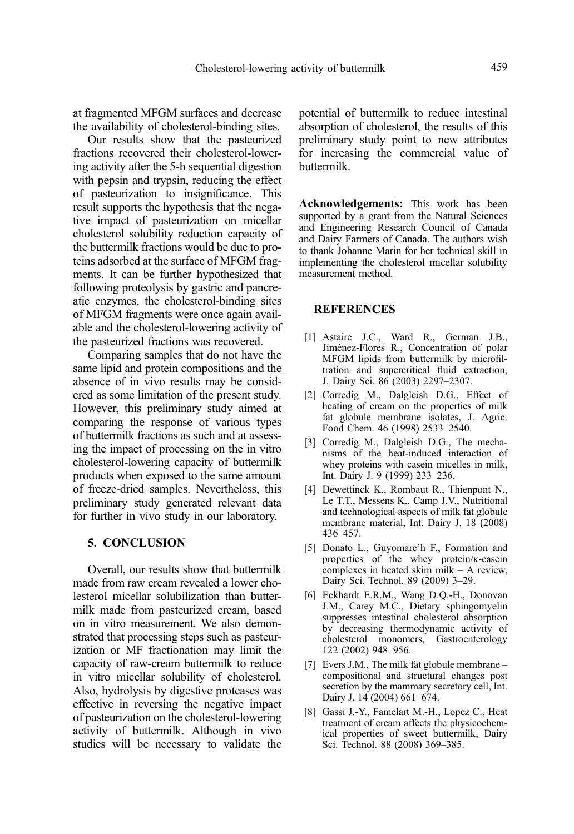<span id="page-10-0"></span>at fragmented MFGM surfaces and decrease the availability of cholesterol-binding sites.

Our results show that the pasteurized fractions recovered their cholesterol-lowering activity after the 5-h sequential digestion with pepsin and trypsin, reducing the effect of pasteurization to insignificance. This result supports the hypothesis that the negative impact of pasteurization on micellar cholesterol solubility reduction capacity of the buttermilk fractions would be due to proteins adsorbed at the surface of MFGM fragments. It can be further hypothesized that following proteolysis by gastric and pancreatic enzymes, the cholesterol-binding sites of MFGM fragments were once again available and the cholesterol-lowering activity of the pasteurized fractions was recovered.

Comparing samples that do not have the same lipid and protein compositions and the absence of in vivo results may be considered as some limitation of the present study. However, this preliminary study aimed at comparing the response of various types of buttermilk fractions as such and at assessing the impact of processing on the in vitro cholesterol-lowering capacity of buttermilk products when exposed to the same amount of freeze-dried samples. Nevertheless, this preliminary study generated relevant data for further in vivo study in our laboratory.

## 5. CONCLUSION

Overall, our results show that buttermilk made from raw cream revealed a lower cholesterol micellar solubilization than buttermilk made from pasteurized cream, based on in vitro measurement. We also demonstrated that processing steps such as pasteurization or MF fractionation may limit the capacity of raw-cream buttermilk to reduce in vitro micellar solubility of cholesterol. Also, hydrolysis by digestive proteases was effective in reversing the negative impact of pasteurization on the cholesterol-lowering activity of buttermilk. Although in vivo studies will be necessary to validate the potential of buttermilk to reduce intestinal absorption of cholesterol, the results of this preliminary study point to new attributes for increasing the commercial value of buttermilk.

Acknowledgements: This work has been supported by a grant from the Natural Sciences and Engineering Research Council of Canada and Dairy Farmers of Canada. The authors wish to thank Johanne Marin for her technical skill in implementing the cholesterol micellar solubility measurement method.

## **REFERENCES**

- [1] Astaire J.C., Ward R., German J.B., Jiménez-Flores R., Concentration of polar MFGM lipids from buttermilk by microfiltration and supercritical fluid extraction, J. Dairy Sci. 86 (2003) 2297–2307.
- [2] Corredig M., Dalgleish D.G., Effect of heating of cream on the properties of milk fat globule membrane isolates, J. Agric. Food Chem. 46 (1998) 2533–2540.
- [3] Corredig M., Dalgleish D.G., The mechanisms of the heat-induced interaction of whey proteins with casein micelles in milk. Int. Dairy J. 9 (1999) 233–236.
- [4] Dewettinck K., Rombaut R., Thienpont N., Le T.T., Messens K., Camp J.V., Nutritional and technological aspects of milk fat globule membrane material, Int. Dairy J. 18 (2008) 436–457.
- [5] Donato L., Guyomarc'h F., Formation and properties of the whey protein/κ-casein complexes in heated skim milk – A review, Dairy Sci. Technol. 89 (2009) 3–29.
- [6] Eckhardt E.R.M., Wang D.Q.-H., Donovan J.M., Carey M.C., Dietary sphingomyelin suppresses intestinal cholesterol absorption by decreasing thermodynamic activity of cholesterol monomers, Gastroenterology 122 (2002) 948–956.
- [7] Evers J.M., The milk fat globule membrane compositional and structural changes post secretion by the mammary secretory cell, Int. Dairy J. 14 (2004) 661–674.
- [8] Gassi J.-Y., Famelart M.-H., Lopez C., Heat treatment of cream affects the physicochemical properties of sweet buttermilk, Dairy Sci. Technol. 88 (2008) 369–385.